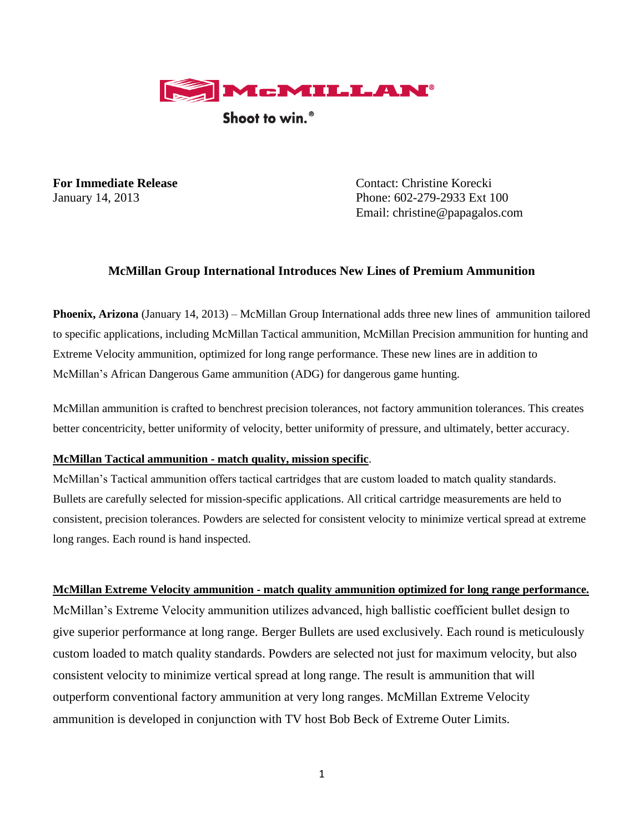

Shoot to win.<sup>®</sup>

**For Immediate Release** Contact: Christine Korecki January 14, 2013 Phone: 602-279-2933 Ext 100 Email: christine@papagalos.com

# **McMillan Group International Introduces New Lines of Premium Ammunition**

**Phoenix, Arizona** (January 14, 2013) – McMillan Group International adds three new lines of ammunition tailored to specific applications, including McMillan Tactical ammunition, McMillan Precision ammunition for hunting and Extreme Velocity ammunition, optimized for long range performance. These new lines are in addition to McMillan's African Dangerous Game ammunition (ADG) for dangerous game hunting.

McMillan ammunition is crafted to benchrest precision tolerances, not factory ammunition tolerances. This creates better concentricity, better uniformity of velocity, better uniformity of pressure, and ultimately, better accuracy.

## **McMillan Tactical ammunition - match quality, mission specific**.

McMillan's Tactical ammunition offers tactical cartridges that are custom loaded to match quality standards. Bullets are carefully selected for mission-specific applications. All critical cartridge measurements are held to consistent, precision tolerances. Powders are selected for consistent velocity to minimize vertical spread at extreme long ranges. Each round is hand inspected.

## **McMillan Extreme Velocity ammunition - match quality ammunition optimized for long range performance.**

McMillan's Extreme Velocity ammunition utilizes advanced, high ballistic coefficient bullet design to give superior performance at long range. Berger Bullets are used exclusively. Each round is meticulously custom loaded to match quality standards. Powders are selected not just for maximum velocity, but also consistent velocity to minimize vertical spread at long range. The result is ammunition that will outperform conventional factory ammunition at very long ranges. McMillan Extreme Velocity ammunition is developed in conjunction with TV host Bob Beck of Extreme Outer Limits.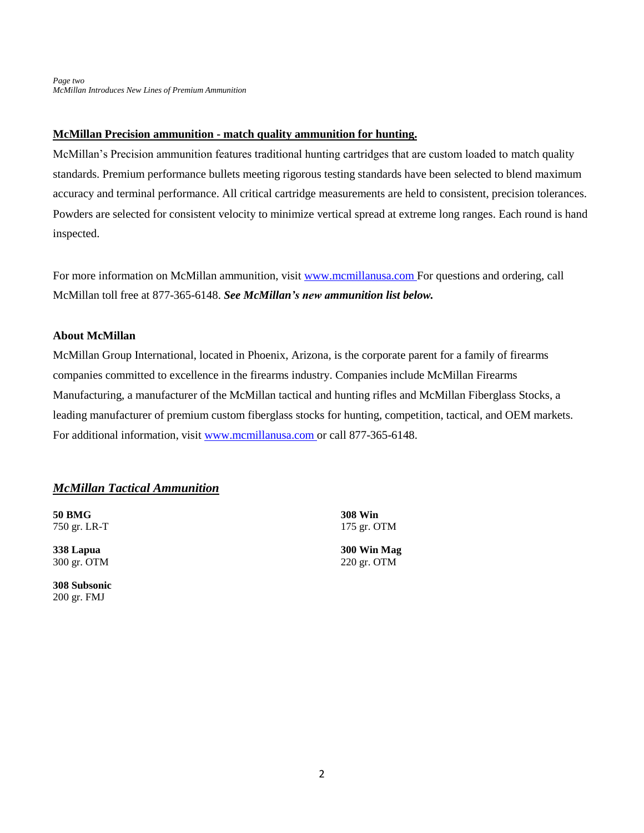## **McMillan Precision ammunition - match quality ammunition for hunting.**

McMillan's Precision ammunition features traditional hunting cartridges that are custom loaded to match quality standards. Premium performance bullets meeting rigorous testing standards have been selected to blend maximum accuracy and terminal performance. All critical cartridge measurements are held to consistent, precision tolerances. Powders are selected for consistent velocity to minimize vertical spread at extreme long ranges. Each round is hand inspected.

For more information on McMillan ammunition, visit [www.mcmillanusa.com](http://www.mcmillanusa.com/) For questions and ordering, call McMillan toll free at 877-365-6148. *See McMillan's new ammunition list below.*

## **About McMillan**

McMillan Group International, located in Phoenix, Arizona, is the corporate parent for a family of firearms companies committed to excellence in the firearms industry. Companies include McMillan Firearms Manufacturing, a manufacturer of the McMillan tactical and hunting rifles and McMillan Fiberglass Stocks, a leading manufacturer of premium custom fiberglass stocks for hunting, competition, tactical, and OEM markets. For additional information, visit [www.mcmillanusa.com](http://www.mcmillanusa.com/) or call 877-365-6148.

## *McMillan Tactical Ammunition*

**50 BMG**  750 gr. LR-T

**338 Lapua**  300 gr. OTM

**308 Subsonic**  200 gr. FMJ

**308 Win**  175 gr. OTM

**300 Win Mag**  220 gr. OTM